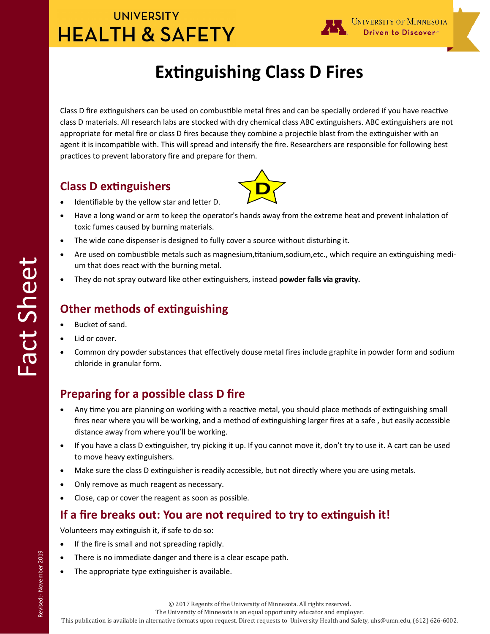# **UNIVERSITY HEALTH & SAFETY**



# **Extinguishing Class D Fires**

Class D fire extinguishers can be used on combustible metal fires and can be specially ordered if you have reactive class D materials. All research labs are stocked with dry chemical class ABC extinguishers. ABC extinguishers are not appropriate for metal fire or class D fires because they combine a projectile blast from the extinguisher with an agent it is incompatible with. This will spread and intensify the fire. Researchers are responsible for following best practices to prevent laboratory fire and prepare for them.

### **Class D extinguishers**



- Identifiable by the yellow star and letter D.
- Have a long wand or arm to keep the operator's hands away from the extreme heat and prevent inhalation of toxic fumes caused by burning materials.
- The wide cone dispenser is designed to fully cover a source without disturbing it.
- Are used on combustible metals such as magnesium,titanium,sodium,etc., which require an extinguishing medium that does react with the burning metal.
- They do not spray outward like other extinguishers, instead **powder falls via gravity.**

### **Other methods of extinguishing**

- Bucket of sand.
- Lid or cover.

Fact Sheet

 Common dry powder substances that effectively douse metal fires include graphite in powder form and sodium chloride in granular form.

### **Preparing for a possible class D fire**

- Any time you are planning on working with a reactive metal, you should place methods of extinguishing small fires near where you will be working, and a method of extinguishing larger fires at a safe , but easily accessible distance away from where you'll be working.
- If you have a class D extinguisher, try picking it up. If you cannot move it, don't try to use it. A cart can be used to move heavy extinguishers.
- Make sure the class D extinguisher is readily accessible, but not directly where you are using metals.
- Only remove as much reagent as necessary.
- Close, cap or cover the reagent as soon as possible.

### **If a fire breaks out: You are not required to try to extinguish it!**

Volunteers may extinguish it, if safe to do so:

- If the fire is small and not spreading rapidly.
- There is no immediate danger and there is a clear escape path.
- The appropriate type extinguisher is available.

The University of Minnesota is an equal opportunity educator and employer.

This publication is available in alternative formats upon request. Direct requests to University Health and Safety, uhs@umn.edu, (612) 626-6002.